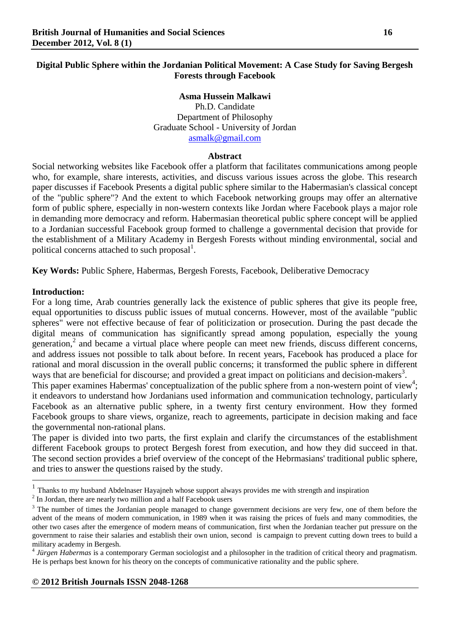# **Digital Public Sphere within the Jordanian Political Movement: A Case Study for Saving Bergesh Forests through Facebook**

## **Asma Hussein Malkawi**

Ph.D. Candidate Department of Philosophy Graduate School - University of Jordan [asmalk@gmail.com](mailto:asmalk@gmail.com)

### **Abstract**

Social networking websites like Facebook offer a platform that facilitates communications among people who, for example, share interests, activities, and discuss various issues across the globe. This research paper discusses if Facebook Presents a digital public sphere similar to the Habermasian's classical concept of the "public sphere"? And the extent to which Facebook networking groups may offer an alternative form of public sphere, especially in non-western contexts like Jordan where Facebook plays a major role in demanding more democracy and reform. Habermasian theoretical public sphere concept will be applied to a Jordanian successful Facebook group formed to challenge a governmental decision that provide for the establishment of a Military Academy in Bergesh Forests without minding environmental, social and political concerns attached to such proposal<sup>1</sup>.

**Key Words:** Public Sphere, Habermas, Bergesh Forests, Facebook, Deliberative Democracy

## **Introduction:**

 $\overline{a}$ 

For a long time, Arab countries generally lack the existence of public spheres that give its people free, equal opportunities to discuss public issues of mutual concerns. However, most of the available "public spheres" were not effective because of fear of politicization or prosecution. During the past decade the digital means of communication has significantly spread among population, especially the young generation,<sup>2</sup> and became a virtual place where people can meet new friends, discuss different concerns, and address issues not possible to talk about before. In recent years, Facebook has produced a place for rational and moral discussion in the overall public concerns; it transformed the public sphere in different ways that are beneficial for discourse; and provided a great impact on politicians and decision-makers<sup>3</sup>.

This paper examines Habermas' conceptualization of the public sphere from a non-western point of view<sup>4</sup>; it endeavors to understand how Jordanians used information and communication technology, particularly Facebook as an alternative public sphere, in a twenty first century environment. How they formed Facebook groups to share views, organize, reach to agreements, participate in decision making and face the governmental non-rational plans.

The paper is divided into two parts, the first explain and clarify the circumstances of the establishment different Facebook groups to protect Bergesh forest from execution, and how they did succeed in that. The second section provides a brief overview of the concept of the Hebrmasians' traditional public sphere, and tries to answer the questions raised by the study.

 $2$  In Jordan, there are nearly two million and a half Facebook users

 $<sup>1</sup>$  Thanks to my husband Abdelnaser Hayajneh whose support always provides me with strength and inspiration</sup>

<sup>&</sup>lt;sup>3</sup> The number of times the Jordanian people managed to change government decisions are very few, one of them before the advent of the means of modern communication, in 1989 when it was raising the prices of fuels and many commodities, the other two cases after the emergence of modern means of communication, first when the Jordanian teacher put pressure on the government to raise their salaries and establish their own union, second is campaign to prevent cutting down trees to build a military academy in Bergesh.

<sup>4</sup> *Jürgen Habermas* is a contemporary German sociologist and a philosopher in the tradition of critical theory and pragmatism. He is perhaps best known for his theory on the concepts of communicative rationality and the public sphere.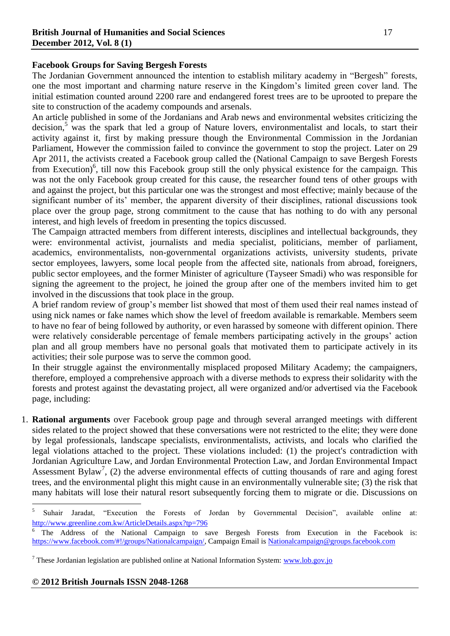## **Facebook Groups for Saving Bergesh Forests**

The Jordanian Government announced the intention to establish military academy in "Bergesh" forests, one the most important and charming nature reserve in the Kingdom's limited green cover land. The initial estimation counted around 2200 rare and endangered forest trees are to be uprooted to prepare the site to construction of the academy compounds and arsenals.

An article published in some of the Jordanians and Arab news and environmental websites criticizing the decision, $5$  was the spark that led a group of Nature lovers, environmentalist and locals, to start their activity against it, first by making pressure though the Environmental Commission in the Jordanian Parliament, However the commission failed to convince the government to stop the project. Later on 29 Apr 2011, the activists created a Facebook group called the (National Campaign to save Bergesh Forests from Execution)<sup>6</sup>, till now this Facebook group still the only physical existence for the campaign. This was not the only Facebook group created for this cause, the researcher found tens of other groups with and against the project, but this particular one was the strongest and most effective; mainly because of the significant number of its' member, the apparent diversity of their disciplines, rational discussions took place over the group page, strong commitment to the cause that has nothing to do with any personal interest, and high levels of freedom in presenting the topics discussed.

The Campaign attracted members from different interests, disciplines and intellectual backgrounds, they were: environmental activist, journalists and media specialist, politicians, member of parliament, academics, environmentalists, non-governmental organizations activists, university students, private sector employees, lawyers, some local people from the affected site, nationals from abroad, foreigners, public sector employees, and the former Minister of agriculture (Tayseer Smadi) who was responsible for signing the agreement to the project, he joined the group after one of the members invited him to get involved in the discussions that took place in the group.

A brief random review of group's member list showed that most of them used their real names instead of using nick names or fake names which show the level of freedom available is remarkable. Members seem to have no fear of being followed by authority, or even harassed by someone with different opinion. There were relatively considerable percentage of female members participating actively in the groups' action plan and all group members have no personal goals that motivated them to participate actively in its activities; their sole purpose was to serve the common good.

In their struggle against the environmentally misplaced proposed Military Academy; the campaigners, therefore, employed a comprehensive approach with a diverse methods to express their solidarity with the forests and protest against the devastating project, all were organized and/or advertised via the Facebook page, including:

1. **Rational arguments** over Facebook group page and through several arranged meetings with different sides related to the project showed that these conversations were not restricted to the elite; they were done by legal professionals, landscape specialists, environmentalists, activists, and locals who clarified the legal violations attached to the project. These violations included: (1) the project's contradiction with Jordanian Agriculture Law, and Jordan Environmental Protection Law, and Jordan Environmental Impact Assessment Bylaw<sup>7</sup>, (2) the adverse environmental effects of cutting thousands of rare and aging forest trees, and the environmental plight this might cause in an environmentally vulnerable site; (3) the risk that many habitats will lose their natural resort subsequently forcing them to migrate or die. Discussions on

 5 Suhair Jaradat, "Execution the Forests of Jordan by Governmental Decision", available online at: <http://www.greenline.com.kw/ArticleDetails.aspx?tp=796>

The Address of the National Campaign to save Bergesh Forests from Execution in the Facebook is: [https://www.facebook.com/#!/groups/Nationalcampaign/,](https://www.facebook.com/#!/groups/Nationalcampaign/) Campaign Email is [Nationalcampaign@groups.facebook.com](mailto:Nationalcampaign@groups.facebook.com)

<sup>7</sup> These Jordanian legislation are published online at National Information System: [www.lob.gov.jo](http://www.lob.gov.jo/)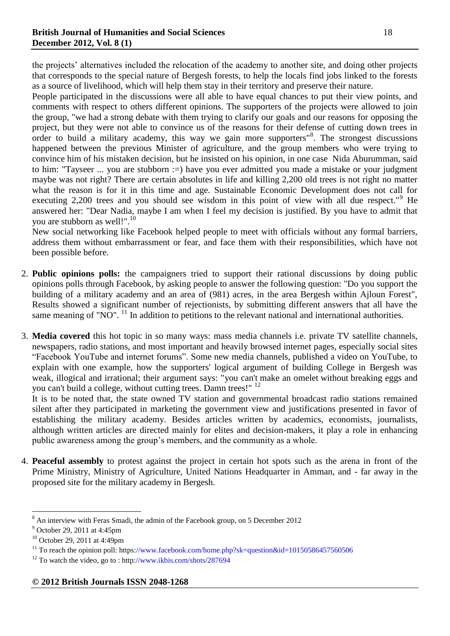the projects' alternatives included the relocation of the academy to another site, and doing other projects that corresponds to the special nature of Bergesh forests, to help the locals find jobs linked to the forests as a source of livelihood, which will help them stay in their territory and preserve their nature.

People participated in the discussions were all able to have equal chances to put their view points, and comments with respect to others different opinions. The supporters of the projects were allowed to join the group, "we had a strong debate with them trying to clarify our goals and our reasons for opposing the project, but they were not able to convince us of the reasons for their defense of cutting down trees in order to build a military academy, this way we gain more supporters"<sup>8</sup>. The strongest discussions happened between the previous Minister of agriculture, and the group members who were trying to convince him of his mistaken decision, but he insisted on his opinion, in one case Nida Aburumman, said to him: "Tayseer ... you are stubborn :=) have you ever admitted you made a mistake or your judgment maybe was not right? There are certain absolutes in life and killing 2,200 old trees is not right no matter what the reason is for it in this time and age. Sustainable Economic Development does not call for executing 2,200 trees and you should see wisdom in this point of view with all due respect."<sup>9</sup> He answered her: "Dear Nadia, maybe I am when I feel my decision is justified. By you have to admit that you are stubborn as well!".<sup>10</sup>

New social networking like Facebook helped people to meet with officials without any formal barriers, address them without embarrassment or fear, and face them with their responsibilities, which have not been possible before.

- 2. **Public opinions polls:** the campaigners tried to support their rational discussions by doing public opinions polls through Facebook, by asking people to answer the following question: "Do you support the building of a military academy and an area of (981) acres, in the area Bergesh within Ajloun Forest", Results showed a significant number of rejectionists, by submitting different answers that all have the same meaning of "NO".  $^{11}$  In addition to petitions to the relevant national and international authorities.
- 3. **Media covered** this hot topic in so many ways: mass media channels i.e. private TV satellite channels, newspapers, radio stations, and most important and heavily browsed internet pages, especially social sites ―Facebook YouTube and internet forums‖. Some new media channels, published a video on YouTube, to explain with one example, how the supporters' logical argument of building College in Bergesh was weak, illogical and irrational; their argument says: "you can't make an omelet without breaking eggs and you can't build a college, without cutting trees. Damn trees!" <sup>12</sup>

It is to be noted that, the state owned TV station and governmental broadcast radio stations remained silent after they participated in marketing the government view and justifications presented in favor of establishing the military academy. Besides articles written by academics, economists, journalists, although written articles are directed mainly for elites and decision-makers, it play a role in enhancing public awareness among the group's members, and the community as a whole.

4. **Peaceful assembly** to protest against the project in certain hot spots such as the arena in front of the Prime Ministry, Ministry of Agriculture, United Nations Headquarter in Amman, and - far away in the proposed site for the military academy in Bergesh.

 $8$  An interview with Feras Smadi, the admin of the Facebook group, on 5 December 2012

<sup>9</sup> October 29, 2011 at 4:45pm

<sup>10</sup> October 29, 2011 at 4:49pm

<sup>&</sup>lt;sup>11</sup> To reach the opinion poll: https://www.facebook.com/home.php?sk=question&id=10150586457560506

 $12$  To watch the video, go to: http://www.ikbis.com/shots/287694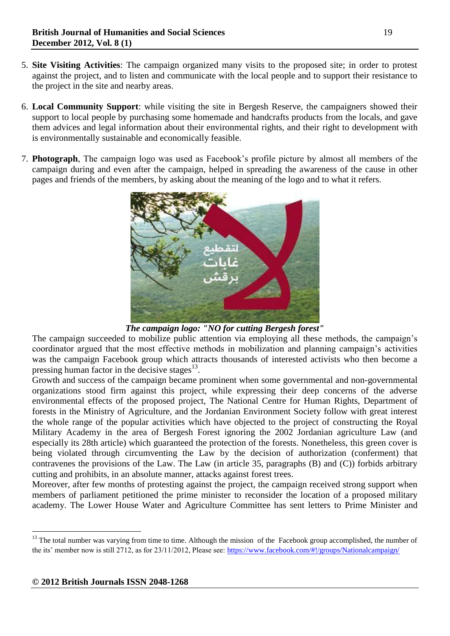- 5. **Site Visiting Activities**: The campaign organized many visits to the proposed site; in order to protest against the project, and to listen and communicate with the local people and to support their resistance to the project in the site and nearby areas.
- 6. **Local Community Support**: while visiting the site in Bergesh Reserve, the campaigners showed their support to local people by purchasing some homemade and handcrafts products from the locals, and gave them advices and legal information about their environmental rights, and their right to development with is environmentally sustainable and economically feasible.
- 7. **Photograph**, The campaign logo was used as Facebook's profile picture by almost all members of the campaign during and even after the campaign, helped in spreading the awareness of the cause in other pages and friends of the members, by asking about the meaning of the logo and to what it refers.



# *The campaign logo: "NO for cutting Bergesh forest"*

The campaign succeeded to mobilize public attention via employing all these methods, the campaign's coordinator argued that the most effective methods in mobilization and planning campaign's activities was the campaign Facebook group which attracts thousands of interested activists who then become a pressing human factor in the decisive stages $^{13}$ .

Growth and success of the campaign became prominent when some governmental and non-governmental organizations stood firm against this project, while expressing their deep concerns of the adverse environmental effects of the proposed project, The National Centre for Human Rights, Department of forests in the Ministry of Agriculture, and the Jordanian Environment Society follow with great interest the whole range of the popular activities which have objected to the project of constructing the Royal Military Academy in the area of Bergesh Forest ignoring the 2002 Jordanian agriculture Law (and especially its 28th article) which guaranteed the protection of the forests. Nonetheless, this green cover is being violated through circumventing the Law by the decision of authorization (conferment) that contravenes the provisions of the Law. The Law (in article 35, paragraphs (B) and (C)) forbids arbitrary cutting and prohibits, in an absolute manner, attacks against forest trees.

Moreover, after few months of protesting against the project, the campaign received strong support when members of parliament petitioned the prime minister to reconsider the location of a proposed military academy. The Lower House Water and Agriculture Committee has sent letters to Prime Minister and

<sup>&</sup>lt;sup>13</sup> The total number was varying from time to time. Although the mission of the Facebook group accomplished, the number of the its' member now is still 2712, as for 23/11/2012, Please see:<https://www.facebook.com/#!/groups/Nationalcampaign/>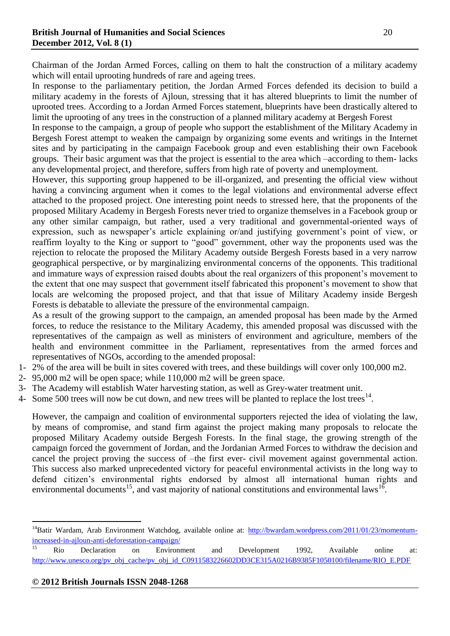Chairman of the Jordan Armed Forces, calling on them to halt the construction of a military academy which will entail uprooting hundreds of rare and ageing trees.

In response to the parliamentary petition, the Jordan Armed Forces defended its decision to build a military academy in the forests of Ajloun, stressing that it has altered blueprints to limit the number of uprooted trees. According to a Jordan Armed Forces statement, blueprints have been drastically altered to limit the uprooting of any trees in the construction of a planned military academy at Bergesh Forest

In response to the campaign, a group of people who support the establishment of the Military Academy in Bergesh Forest attempt to weaken the campaign by organizing some events and writings in the Internet sites and by participating in the campaign Facebook group and even establishing their own Facebook groups. Their basic argument was that the project is essential to the area which –according to them- lacks any developmental project, and therefore, suffers from high rate of poverty and unemployment.

However, this supporting group happened to be ill-organized, and presenting the official view without having a convincing argument when it comes to the legal violations and environmental adverse effect attached to the proposed project. One interesting point needs to stressed here, that the proponents of the proposed Military Academy in Bergesh Forests never tried to organize themselves in a Facebook group or any other similar campaign, but rather, used a very traditional and governmental-oriented ways of expression, such as newspaper's article explaining or/and justifying government's point of view, or reaffirm loyalty to the King or support to "good" government, other way the proponents used was the rejection to relocate the proposed the Military Academy outside Bergesh Forests based in a very narrow geographical perspective, or by marginalizing environmental concerns of the opponents. This traditional and immature ways of expression raised doubts about the real organizers of this proponent's movement to the extent that one may suspect that government itself fabricated this proponent's movement to show that locals are welcoming the proposed project, and that that issue of Military Academy inside Bergesh Forests is debatable to alleviate the pressure of the environmental campaign.

As a result of the growing support to the campaign, an amended proposal has been made by the Armed forces, to reduce the resistance to the Military Academy, this amended proposal was discussed with the representatives of the campaign as well as ministers of environment and agriculture, members of the health and environment committee in the Parliament, representatives from the armed forces and representatives of NGOs, according to the amended proposal:

- 1- 2% of the area will be built in sites covered with trees, and these buildings will cover only 100,000 m2.
- 2- 95,000 m2 will be open space; while 110,000 m2 will be green space.
- 3- The Academy will establish Water harvesting station, as well as Grey-water treatment unit.
- 4- Some 500 trees will now be cut down, and new trees will be planted to replace the lost trees<sup>14</sup>.

However, the campaign and coalition of environmental supporters rejected the idea of violating the law, by means of compromise, and stand firm against the project making many proposals to relocate the proposed Military Academy outside Bergesh Forests. In the final stage, the growing strength of the campaign forced the government of Jordan, and the Jordanian Armed Forces to withdraw the decision and cancel the project proving the success of –the first ever- civil movement against governmental action. This success also marked unprecedented victory for peaceful environmental activists in the long way to defend citizen's environmental rights endorsed by almost all international human rights and environmental documents<sup>15</sup>, and vast majority of national constitutions and environmental laws<sup>16</sup>.

## **© 2012 British Journals ISSN 2048-1268**

<sup>&</sup>lt;sup>14</sup>Batir Wardam, Arab Environment Watchdog, available online at:  $\frac{http://bwardam.wordpress.com/2011/01/23/momentum-1001/23/m}$ [increased-in-ajloun-anti-deforestation-campaign/](http://bwardam.wordpress.com/2011/01/23/momentum-increased-in-ajloun-anti-deforestation-campaign/)

<sup>&</sup>lt;sup>15</sup> Rio Declaration on Environment and Development 1992, Available online at: [http://www.unesco.org/pv\\_obj\\_cache/pv\\_obj\\_id\\_C0911583226602DD3CE315A0216B9385F1050100/filename/RIO\\_E.PDF](http://www.unesco.org/pv_obj_cache/pv_obj_id_C0911583226602DD3CE315A0216B9385F1050100/filename/RIO_E.PDF)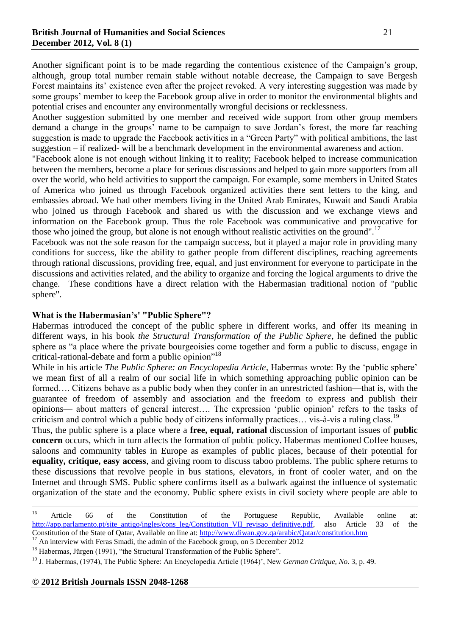Another significant point is to be made regarding the contentious existence of the Campaign's group, although, group total number remain stable without notable decrease, the Campaign to save Bergesh Forest maintains its' existence even after the project revoked. A very interesting suggestion was made by some groups' member to keep the Facebook group alive in order to monitor the environmental blights and potential crises and encounter any environmentally wrongful decisions or recklessness.

Another suggestion submitted by one member and received wide support from other group members demand a change in the groups' name to be campaign to save Jordan's forest, the more far reaching suggestion is made to upgrade the Facebook activities in a "Green Party" with political ambitions, the last suggestion – if realized- will be a benchmark development in the environmental awareness and action.

"Facebook alone is not enough without linking it to reality; Facebook helped to increase communication between the members, become a place for serious discussions and helped to gain more supporters from all over the world, who held activities to support the campaign. For example, some members in United States of America who joined us through Facebook organized activities there sent letters to the king, and embassies abroad. We had other members living in the United Arab Emirates, Kuwait and Saudi Arabia who joined us through Facebook and shared us with the discussion and we exchange views and information on the Facebook group. Thus the role Facebook was communicative and provocative for those who joined the group, but alone is not enough without realistic activities on the ground".<sup>17</sup>

Facebook was not the sole reason for the campaign success, but it played a major role in providing many conditions for success, like the ability to gather people from different disciplines, reaching agreements through rational discussions, providing free, equal, and just environment for everyone to participate in the discussions and activities related, and the ability to organize and forcing the logical arguments to drive the change. These conditions have a direct relation with the Habermasian traditional notion of "public sphere".

# **What is the Habermasian's' "Public Sphere"?**

Habermas introduced the concept of the public sphere in different works, and offer its meaning in different ways, in his book *the Structural Transformation of the Public Sphere*, he defined the public sphere as "a place where the private bourgeoisies come together and form a public to discuss, engage in critical-rational-debate and form a public opinion $^{18}$ 

While in his article *The Public Sphere: an Encyclopedia Article*, Habermas wrote: By the 'public sphere' we mean first of all a realm of our social life in which something approaching public opinion can be formed…. Citizens behave as a public body when they confer in an unrestricted fashion—that is, with the guarantee of freedom of assembly and association and the freedom to express and publish their opinions— about matters of general interest…. The expression 'public opinion' refers to the tasks of criticism and control which a public body of citizens informally practices... vis-à-vis a ruling class.<sup>19</sup>

Thus, the public sphere is a place where a **free, equal, rational** discussion of important issues of **public concern** occurs, which in turn affects the formation of public policy. Habermas mentioned Coffee houses, saloons and community tables in Europe as examples of public places, because of their potential for **equality, critique, easy access**, and giving room to discuss taboo problems. The public sphere returns to these discussions that revolve people in bus stations, elevators, in front of cooler water, and on the Internet and through SMS. Public sphere confirms itself as a bulwark against the influence of systematic organization of the state and the economy. Public sphere exists in civil society where people are able to

 $16$ <sup>16</sup> Article 66 of the Constitution of the Portuguese Republic, Available online at: [http://app.parlamento.pt/site\\_antigo/ingles/cons\\_leg/Constitution\\_VII\\_revisao\\_definitive.pdf,](http://app.parlamento.pt/site_antigo/ingles/cons_leg/Constitution_VII_revisao_definitive.pdf) also Article 33 of the Constitution of the State of Qatar, Available on line at:<http://www.diwan.gov.qa/arabic/Qatar/constitution.htm>

<sup>&</sup>lt;sup>17</sup> An interview with Feras Smadi, the admin of the Facebook group, on 5 December 2012

<sup>&</sup>lt;sup>18</sup> Habermas, Jürgen (1991), "the Structural Transformation of the Public Sphere".

<sup>19</sup> J. Habermas, (1974), The Public Sphere: An Encyclopedia Article (1964)', New *German Critique, No*. 3, p. 49.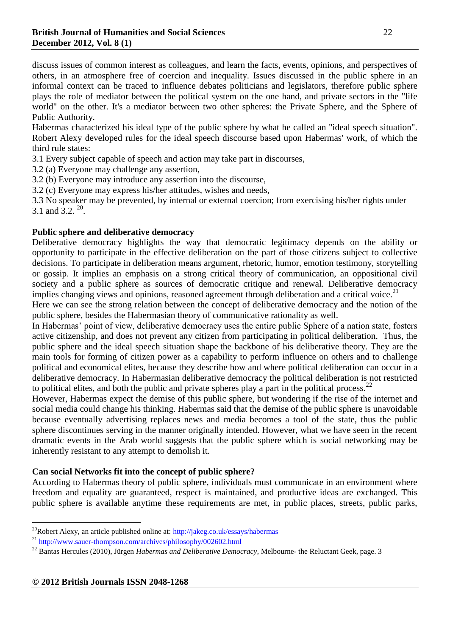discuss issues of common interest as colleagues, and learn the facts, events, opinions, and perspectives of others, in an atmosphere free of coercion and inequality. Issues discussed in the public sphere in an informal context can be traced to influence debates politicians and legislators, therefore public sphere plays the role of mediator between the political system on the one hand, and private sectors in the "life world" on the other. It's a mediator between two other spheres: the Private Sphere, and the Sphere of Public Authority.

Habermas characterized his ideal type of the public sphere by what he called an "ideal speech situation". Robert Alexy developed rules for the ideal speech discourse based upon Habermas' work, of which the third rule states:

3.1 Every subject capable of speech and action may take part in discourses,

3.2 (a) Everyone may challenge any assertion,

3.2 (b) Everyone may introduce any assertion into the discourse,

3.2 (c) Everyone may express his/her attitudes, wishes and needs,

3.3 No speaker may be prevented, by internal or external coercion; from exercising his/her rights under 3.1 and  $3.2.^{20}$ .

## **Public sphere and deliberative democracy**

Deliberative democracy highlights the way that democratic legitimacy depends on the ability or opportunity to participate in the effective deliberation on the part of those citizens subject to collective decisions. To participate in deliberation means argument, rhetoric, humor, emotion testimony, storytelling or gossip. It implies an emphasis on a strong critical theory of communication, an oppositional civil society and a public sphere as sources of democratic critique and renewal. Deliberative democracy implies changing views and opinions, reasoned agreement through deliberation and a critical voice.<sup>21</sup>

Here we can see the strong relation between the concept of deliberative democracy and the notion of the public sphere, besides the Habermasian theory of communicative rationality as well.

In Habermas' point of view, deliberative democracy uses the entire public Sphere of a nation state, fosters active citizenship, and does not prevent any citizen from participating in political deliberation. Thus, the public sphere and the ideal speech situation shape the backbone of his deliberative theory. They are the main tools for forming of citizen power as a capability to perform influence on others and to challenge political and economical elites, because they describe how and where political deliberation can occur in a deliberative democracy. In Habermasian deliberative democracy the political deliberation is not restricted to political elites, and both the public and private spheres play a part in the political process.  $^{22}$ 

However, Habermas expect the demise of this public sphere, but wondering if the rise of the internet and social media could change his thinking. Habermas said that the demise of the public sphere is unavoidable because eventually advertising replaces news and media becomes a tool of the state, thus the public sphere discontinues serving in the manner originally intended. However, what we have seen in the recent dramatic events in the Arab world suggests that the public sphere which is social networking may be inherently resistant to any attempt to demolish it.

# **Can social Networks fit into the concept of public sphere?**

According to Habermas theory of public sphere, individuals must communicate in an environment where freedom and equality are guaranteed, respect is maintained, and productive ideas are exchanged. This public sphere is available anytime these requirements are met, in public places, streets, public parks,

<sup>&</sup>lt;sup>20</sup>Robert Alexy, an article published online at:  $\frac{http://jakeg.co.uk/essays/habermas}{}$ 

<sup>21</sup> <http://www.sauer-thompson.com/archives/philosophy/002602.html>

<sup>&</sup>lt;sup>22</sup> Bantas Hercules (2010), Jürgen *Habermas and Deliberative Democracy*, Melbourne- the Reluctant Geek, page. 3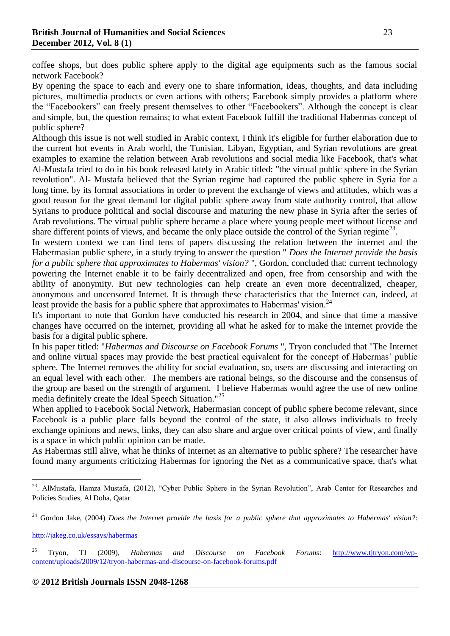coffee shops, but does public sphere apply to the digital age equipments such as the famous social network Facebook?

By opening the space to each and every one to share information, ideas, thoughts, and data including pictures, multimedia products or even actions with others; Facebook simply provides a platform where the "Facebookers" can freely present themselves to other "Facebookers". Although the concept is clear and simple, but, the question remains; to what extent Facebook fulfill the traditional Habermas concept of public sphere?

Although this issue is not well studied in Arabic context, I think it's eligible for further elaboration due to the current hot events in Arab world, the Tunisian, Libyan, Egyptian, and Syrian revolutions are great examples to examine the relation between Arab revolutions and social media like Facebook, that's what Al-Mustafa tried to do in his book released lately in Arabic titled: "the virtual public sphere in the Syrian revolution". Al- Mustafa believed that the Syrian regime had captured the public sphere in Syria for a long time, by its formal associations in order to prevent the exchange of views and attitudes, which was a good reason for the great demand for digital public sphere away from state authority control, that allow Syrians to produce political and social discourse and maturing the new phase in Syria after the series of Arab revolutions. The virtual public sphere became a place where young people meet without license and share different points of views, and became the only place outside the control of the Syrian regime<sup>23</sup>.

In western context we can find tens of papers discussing the relation between the internet and the Habermasian public sphere, in a study trying to answer the question " *Does the Internet provide the basis for a public sphere that approximates to Habermas' vision?* ", Gordon, concluded that: current technology powering the Internet enable it to be fairly decentralized and open, free from censorship and with the ability of anonymity. But new technologies can help create an even more decentralized, cheaper, anonymous and uncensored Internet. It is through these characteristics that the Internet can, indeed, at least provide the basis for a public sphere that approximates to Habermas' vision.<sup>24</sup>

It's important to note that Gordon have conducted his research in 2004, and since that time a massive changes have occurred on the internet, providing all what he asked for to make the internet provide the basis for a digital public sphere.

In his paper titled: "*Habermas and Discourse on Facebook Forums* ", Tryon concluded that "The Internet and online virtual spaces may provide the best practical equivalent for the concept of Habermas' public sphere. The Internet removes the ability for social evaluation, so, users are discussing and interacting on an equal level with each other. The members are rational beings, so the discourse and the consensus of the group are based on the strength of argument. I believe Habermas would agree the use of new online media definitely create the Ideal Speech Situation."<sup>25</sup>

When applied to Facebook Social Network, Habermasian concept of public sphere become relevant, since Facebook is a public place falls beyond the control of the state, it also allows individuals to freely exchange opinions and news, links, they can also share and argue over critical points of view, and finally is a space in which public opinion can be made.

As Habermas still alive, what he thinks of Internet as an alternative to public sphere? The researcher have found many arguments criticizing Habermas for ignoring the Net as a communicative space, that's what

http://jakeg.co.uk/essays/habermas

<sup>&</sup>lt;sup>23</sup>. AlMustafa, Hamza Mustafa, (2012), "Cyber Public Sphere in the Syrian Revolution", Arab Center for Researches and Policies Studies, Al Doha, Qatar

<sup>24</sup> Gordon Jake, (2004) *Does the Internet provide the basis for a public sphere that approximates to Habermas' vision?*:

<sup>25</sup> Tryon, TJ (2009), *Habermas and Discourse on Facebook Forums*: [http://www.tjtryon.com/wp](http://www.tjtryon.com/wp-content/uploads/2009/12/tryon-habermas-and-discourse-on-facebook-forums.pdf)[content/uploads/2009/12/tryon-habermas-and-discourse-on-facebook-forums.pdf](http://www.tjtryon.com/wp-content/uploads/2009/12/tryon-habermas-and-discourse-on-facebook-forums.pdf)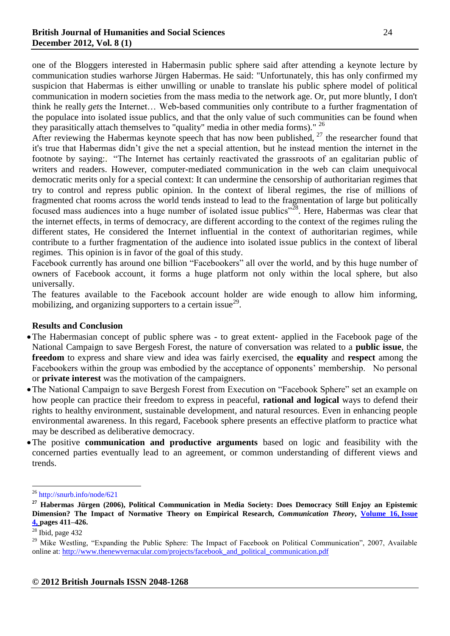one of the Bloggers interested in Habermasin public sphere said after attending a keynote lecture by communication studies warhorse Jürgen Habermas. He said: "Unfortunately, this has only confirmed my suspicion that Habermas is either unwilling or unable to translate his public sphere model of political communication in modern societies from the mass media to the network age. Or, put more bluntly, I don't think he really *gets* the Internet… Web-based communities only contribute to a further fragmentation of the populace into isolated issue publics, and that the only value of such communities can be found when they parasitically attach themselves to "quality" media in other media forms)." <sup>26</sup>

After reviewing the Habermas keynote speech that has now been published, <sup>27</sup> the researcher found that it's true that Habermas didn't give the net a special attention, but he instead mention the internet in the footnote by saying:. "The Internet has certainly reactivated the grassroots of an egalitarian public of writers and readers. However, computer-mediated communication in the web can claim unequivocal democratic merits only for a special context: It can undermine the censorship of authoritarian regimes that try to control and repress public opinion. In the context of liberal regimes, the rise of millions of fragmented chat rooms across the world tends instead to lead to the fragmentation of large but politically focused mass audiences into a huge number of isolated issue publics"<sup>28</sup>. Here, Habermas was clear that the internet effects, in terms of democracy, are different according to the context of the regimes ruling the different states, He considered the Internet influential in the context of authoritarian regimes, while contribute to a further fragmentation of the audience into isolated issue publics in the context of liberal regimes. This opinion is in favor of the goal of this study.

Facebook currently has around one billion "Facebookers" all over the world, and by this huge number of owners of Facebook account, it forms a huge platform not only within the local sphere, but also universally.

The features available to the Facebook account holder are wide enough to allow him informing, mobilizing, and organizing supporters to a certain issue $^{29}$ .

## **Results and Conclusion**

- The Habermasian concept of public sphere was to great extent- applied in the Facebook page of the National Campaign to save Bergesh Forest, the nature of conversation was related to a **public issue**, the **freedom** to express and share view and idea was fairly exercised, the **equality** and **respect** among the Facebookers within the group was embodied by the acceptance of opponents' membership. No personal or **private interest** was the motivation of the campaigners.
- The National Campaign to save Bergesh Forest from Execution on "Facebook Sphere" set an example on how people can practice their freedom to express in peaceful, **rational and logical** ways to defend their rights to healthy environment, sustainable development, and natural resources. Even in enhancing people environmental awareness. In this regard, Facebook sphere presents an effective platform to practice what may be described as deliberative democracy.
- The positive **communication and productive arguments** based on logic and feasibility with the concerned parties eventually lead to an agreement, or common understanding of different views and trends.

<sup>26</sup> http://snurb.info/node/621

**<sup>27</sup> Habermas Jürgen (2006), Political Communication in Media Society: Does Democracy Still Enjoy an Epistemic Dimension? The Impact of Normative Theory on Empirical Research,** *Communication Theory***, [Volume](http://onlinelibrary.wiley.com/doi/10.1111/comt.2006.16.issue-4/issuetoc) 16, Issue [4,](http://onlinelibrary.wiley.com/doi/10.1111/comt.2006.16.issue-4/issuetoc) pages 411–426.**

 $28$  Ibid, page 432

<sup>&</sup>lt;sup>29</sup> Mike Westling, "Expanding the Public Sphere: The Impact of Facebook on Political Communication", 2007, Available online at: [http://www.thenewvernacular.com/projects/facebook\\_and\\_political\\_communication.pdf](http://www.thenewvernacular.com/projects/facebook_and_political_communication.pdf)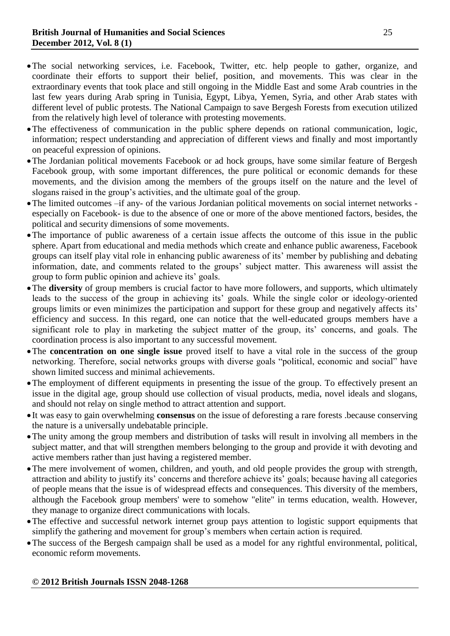- The social networking services, i.e. Facebook, Twitter, etc. help people to gather, organize, and coordinate their efforts to support their belief, position, and movements. This was clear in the extraordinary events that took place and still ongoing in the Middle East and some Arab countries in the last few years during Arab spring in Tunisia, Egypt, Libya, Yemen, Syria, and other Arab states with different level of public protests. The National Campaign to save Bergesh Forests from execution utilized from the relatively high level of tolerance with protesting movements.
- The effectiveness of communication in the public sphere depends on rational communication, logic, information; respect understanding and appreciation of different views and finally and most importantly on peaceful expression of opinions.
- The Jordanian political movements Facebook or ad hock groups, have some similar feature of Bergesh Facebook group, with some important differences, the pure political or economic demands for these movements, and the division among the members of the groups itself on the nature and the level of slogans raised in the group's activities, and the ultimate goal of the group.
- The limited outcomes –if any- of the various Jordanian political movements on social internet networks especially on Facebook- is due to the absence of one or more of the above mentioned factors, besides, the political and security dimensions of some movements.
- The importance of public awareness of a certain issue affects the outcome of this issue in the public sphere. Apart from educational and media methods which create and enhance public awareness, Facebook groups can itself play vital role in enhancing public awareness of its' member by publishing and debating information, date, and comments related to the groups' subject matter. This awareness will assist the group to form public opinion and achieve its' goals.
- The **diversity** of group members is crucial factor to have more followers, and supports, which ultimately leads to the success of the group in achieving its' goals. While the single color or ideology-oriented groups limits or even minimizes the participation and support for these group and negatively affects its' efficiency and success. In this regard, one can notice that the well-educated groups members have a significant role to play in marketing the subject matter of the group, its' concerns, and goals. The coordination process is also important to any successful movement.
- The **concentration on one single issue** proved itself to have a vital role in the success of the group networking. Therefore, social networks groups with diverse goals "political, economic and social" have shown limited success and minimal achievements.
- The employment of different equipments in presenting the issue of the group. To effectively present an issue in the digital age, group should use collection of visual products, media, novel ideals and slogans, and should not relay on single method to attract attention and support.
- It was easy to gain overwhelming **consensus** on the issue of deforesting a rare forests .because conserving the nature is a universally undebatable principle.
- The unity among the group members and distribution of tasks will result in involving all members in the subject matter, and that will strengthen members belonging to the group and provide it with devoting and active members rather than just having a registered member.
- The mere involvement of women, children, and youth, and old people provides the group with strength, attraction and ability to justify its' concerns and therefore achieve its' goals; because having all categories of people means that the issue is of widespread effects and consequences. This diversity of the members, although the Facebook group members' were to somehow "elite" in terms education, wealth. However, they manage to organize direct communications with locals.
- The effective and successful network internet group pays attention to logistic support equipments that simplify the gathering and movement for group's members when certain action is required.
- The success of the Bergesh campaign shall be used as a model for any rightful environmental, political, economic reform movements.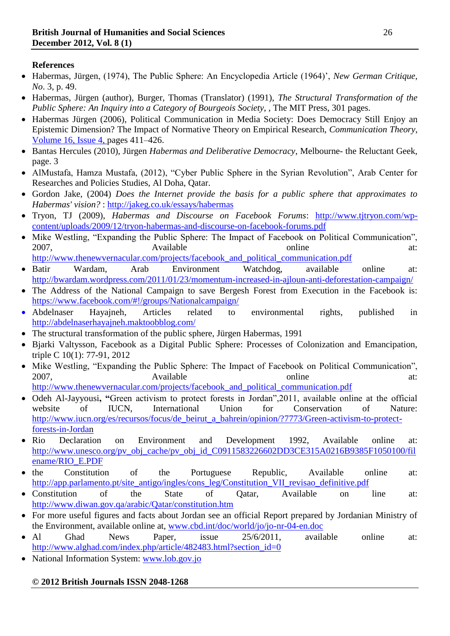# **References**

- Habermas, Jürgen, (1974), The Public Sphere: An Encyclopedia Article (1964)', *New German Critique, No*. 3, p. 49.
- Habermas, Jürgen (author), Burger, Thomas (Translator) (1991), *The Structural Transformation of the Public Sphere: An Inquiry into a Category of Bourgeois Society*, , The MIT Press, 301 pages.
- Habermas Jürgen (2006), Political Communication in Media Society: Does Democracy Still Enjoy an Epistemic Dimension? The Impact of Normative Theory on Empirical Research, *Communication Theory*, [Volume](http://onlinelibrary.wiley.com/doi/10.1111/comt.2006.16.issue-4/issuetoc) 16, Issue 4, pages 411–426.
- Bantas Hercules (2010), Jürgen *Habermas and Deliberative Democracy*, Melbourne- the Reluctant Geek, page. 3
- AlMustafa, Hamza Mustafa, (2012), "Cyber Public Sphere in the Syrian Revolution", Arab Center for Researches and Policies Studies, Al Doha, Qatar.
- Gordon Jake, (2004) *Does the Internet provide the basis for a public sphere that approximates to Habermas' vision?* : <http://jakeg.co.uk/essays/habermas>
- Tryon, TJ (2009), *Habermas and Discourse on Facebook Forums*: [http://www.tjtryon.com/wp](http://www.tjtryon.com/wp-content/uploads/2009/12/tryon-habermas-and-discourse-on-facebook-forums.pdf)[content/uploads/2009/12/tryon-habermas-and-discourse-on-facebook-forums.pdf](http://www.tjtryon.com/wp-content/uploads/2009/12/tryon-habermas-and-discourse-on-facebook-forums.pdf)
- Mike Westling, "Expanding the Public Sphere: The Impact of Facebook on Political Communication", 2007, Available **Available** at: http://www.thenewvernacular.com/projects/facebook and political communication.pdf
- Batir Wardam, Arab Environment Watchdog, available online at: <http://bwardam.wordpress.com/2011/01/23/momentum-increased-in-ajloun-anti-deforestation-campaign/>
- The Address of the National Campaign to save Bergesh Forest from Execution in the Facebook is: <https://www.facebook.com/#!/groups/Nationalcampaign/>
- Abdelnaser Hayajneh, Articles related to environmental rights, published in <http://abdelnaserhayajneh.maktoobblog.com/>
- The structural transformation of the public sphere, Jürgen Habermas, 1991
- Bjarki Valtysson, Facebook as a Digital Public Sphere: Processes of Colonization and Emancipation, triple C 10(1): 77-91, 2012
- Mike Westling, "Expanding the Public Sphere: The Impact of Facebook on Political Communication", 2007, Available **Available** at: http://www.thenewvernacular.com/projects/facebook and political communication.pdf
- Odeh Al-Jayyousi, "Green activism to protect forests in Jordan", 2011, available online at the official website of IUCN, International Union for Conservation of Nature: [http://www.iucn.org/es/recursos/focus/de\\_beirut\\_a\\_bahrein/opinion/?7773/Green-activism-to-protect](http://www.iucn.org/es/recursos/focus/de_beirut_a_bahrein/opinion/?7773/Green-activism-to-protect-forests-in-Jordan)[forests-in-Jordan](http://www.iucn.org/es/recursos/focus/de_beirut_a_bahrein/opinion/?7773/Green-activism-to-protect-forests-in-Jordan)
- Rio Declaration on Environment and Development 1992, Available online at: [http://www.unesco.org/pv\\_obj\\_cache/pv\\_obj\\_id\\_C0911583226602DD3CE315A0216B9385F1050100/fil](http://www.unesco.org/pv_obj_cache/pv_obj_id_C0911583226602DD3CE315A0216B9385F1050100/filename/RIO_E.PDF) [ename/RIO\\_E.PDF](http://www.unesco.org/pv_obj_cache/pv_obj_id_C0911583226602DD3CE315A0216B9385F1050100/filename/RIO_E.PDF)
- the Constitution of the Portuguese Republic, Available online at: [http://app.parlamento.pt/site\\_antigo/ingles/cons\\_leg/Constitution\\_VII\\_revisao\\_definitive.pdf](http://app.parlamento.pt/site_antigo/ingles/cons_leg/Constitution_VII_revisao_definitive.pdf)
- Constitution of the State of Qatar, Available on line at: <http://www.diwan.gov.qa/arabic/Qatar/constitution.htm>
- For more useful figures and facts about Jordan see an official Report prepared by Jordanian Ministry of the Environment, available online at, [www.cbd.int/doc/world/jo/jo-nr-04-en.doc](http://www.cbd.int/doc/world/jo/jo-nr-04-en.doc)
- Al Ghad News Paper, issue 25/6/2011, available online at: [http://www.alghad.com/index.php/article/482483.html?section\\_id=0](http://www.alghad.com/index.php/article/482483.html?section_id=0)
- National Information System: [www.lob.gov.jo](http://www.lob.gov.jo/)